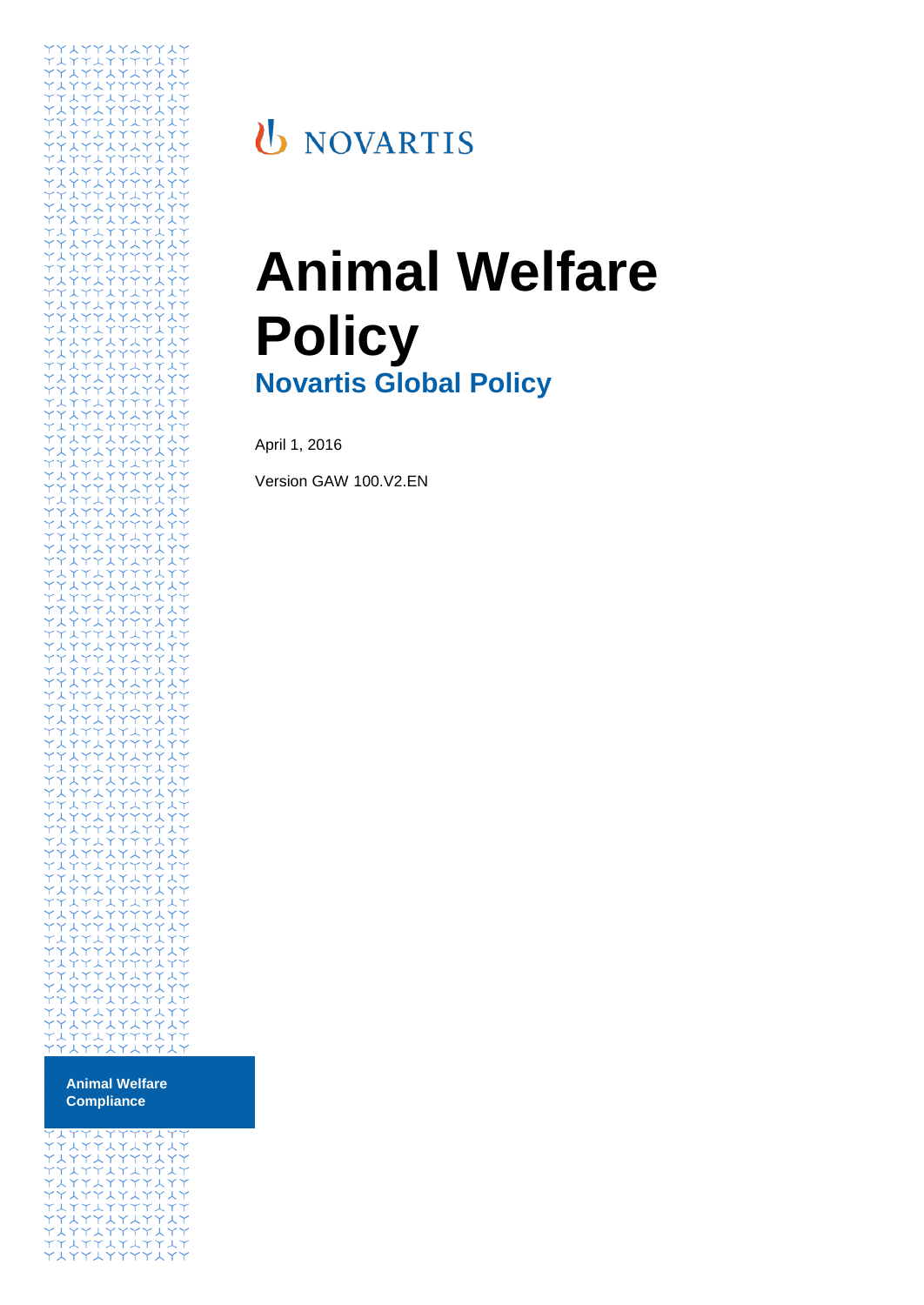

# **U** NOVARTIS

# **Animal Welfare Policy Novartis Global Policy**

April 1, 2016

Version GAW 100.V2.EN

**Animal Welfare Compliance**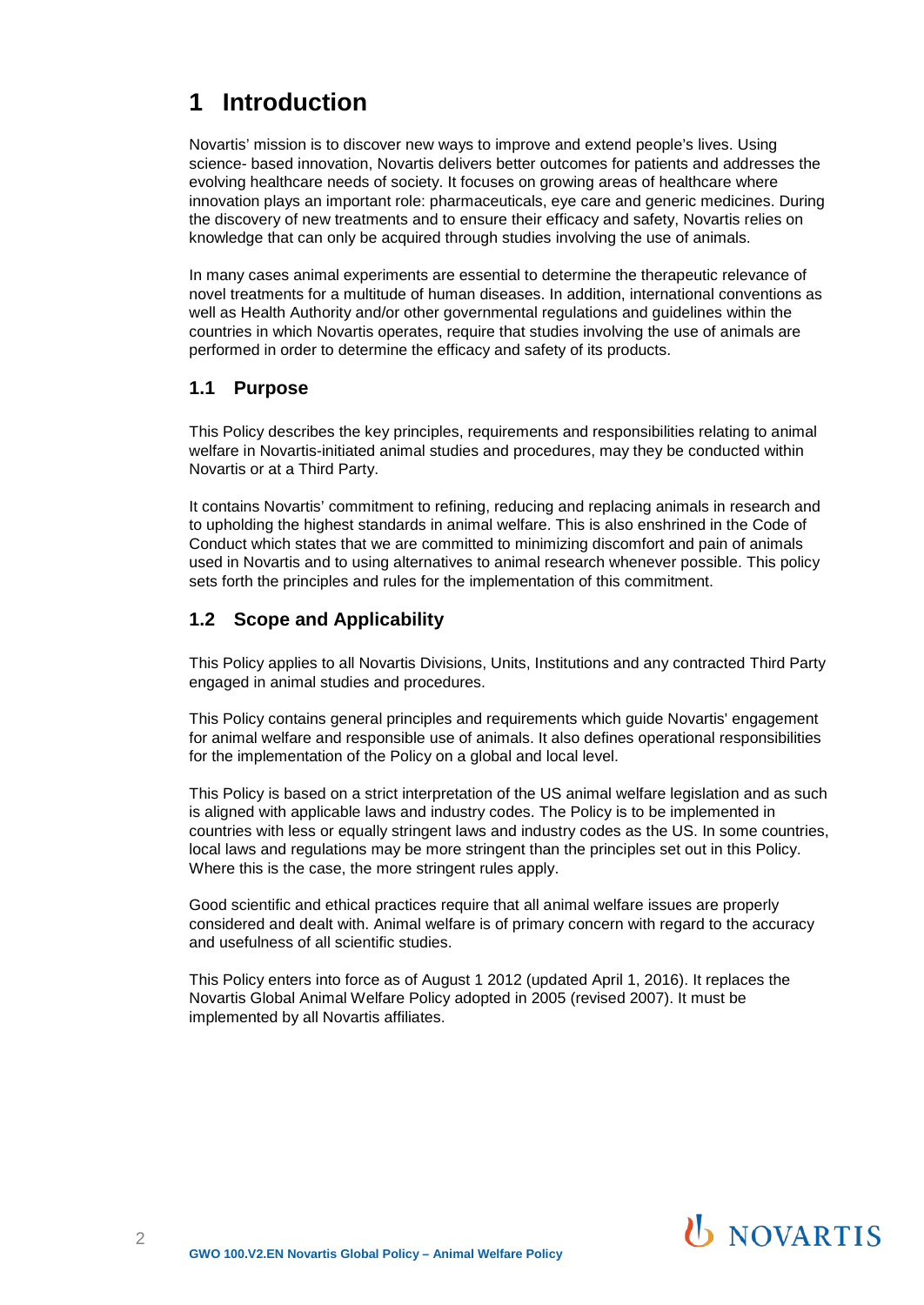# **1 Introduction**

Novartis' mission is to discover new ways to improve and extend people's lives. Using science- based innovation, Novartis delivers better outcomes for patients and addresses the evolving healthcare needs of society. It focuses on growing areas of healthcare where innovation plays an important role: pharmaceuticals, eye care and generic medicines. During the discovery of new treatments and to ensure their efficacy and safety, Novartis relies on knowledge that can only be acquired through studies involving the use of animals.

In many cases animal experiments are essential to determine the therapeutic relevance of novel treatments for a multitude of human diseases. In addition, international conventions as well as Health Authority and/or other governmental regulations and guidelines within the countries in which Novartis operates, require that studies involving the use of animals are performed in order to determine the efficacy and safety of its products.

#### **1.1 Purpose**

This Policy describes the key principles, requirements and responsibilities relating to animal welfare in Novartis-initiated animal studies and procedures, may they be conducted within Novartis or at a Third Party.

It contains Novartis' commitment to refining, reducing and replacing animals in research and to upholding the highest standards in animal welfare. This is also enshrined in the Code of Conduct which states that we are committed to minimizing discomfort and pain of animals used in Novartis and to using alternatives to animal research whenever possible. This policy sets forth the principles and rules for the implementation of this commitment.

### **1.2 Scope and Applicability**

This Policy applies to all Novartis Divisions, Units, Institutions and any contracted Third Party engaged in animal studies and procedures.

This Policy contains general principles and requirements which guide Novartis' engagement for animal welfare and responsible use of animals. It also defines operational responsibilities for the implementation of the Policy on a global and local level.

This Policy is based on a strict interpretation of the US animal welfare legislation and as such is aligned with applicable laws and industry codes. The Policy is to be implemented in countries with less or equally stringent laws and industry codes as the US. In some countries, local laws and regulations may be more stringent than the principles set out in this Policy. Where this is the case, the more stringent rules apply.

Good scientific and ethical practices require that all animal welfare issues are properly considered and dealt with. Animal welfare is of primary concern with regard to the accuracy and usefulness of all scientific studies.

This Policy enters into force as of August 1 2012 (updated April 1, 2016). It replaces the Novartis Global Animal Welfare Policy adopted in 2005 (revised 2007). It must be implemented by all Novartis affiliates.

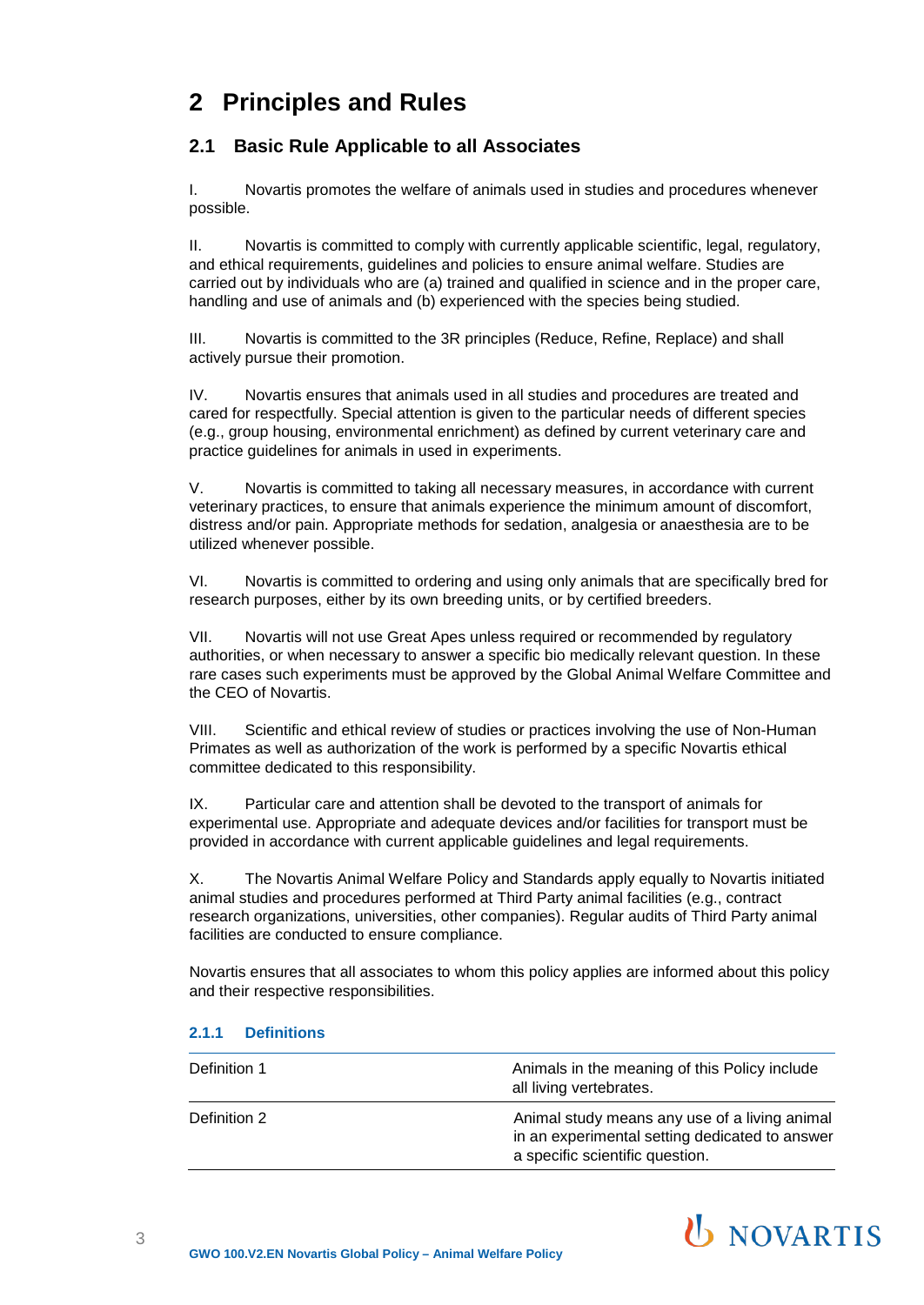# **2 Principles and Rules**

# **2.1 Basic Rule Applicable to all Associates**

I. Novartis promotes the welfare of animals used in studies and procedures whenever possible.

II. Novartis is committed to comply with currently applicable scientific, legal, regulatory, and ethical requirements, guidelines and policies to ensure animal welfare. Studies are carried out by individuals who are (a) trained and qualified in science and in the proper care, handling and use of animals and (b) experienced with the species being studied.

III. Novartis is committed to the 3R principles (Reduce, Refine, Replace) and shall actively pursue their promotion.

IV. Novartis ensures that animals used in all studies and procedures are treated and cared for respectfully. Special attention is given to the particular needs of different species (e.g., group housing, environmental enrichment) as defined by current veterinary care and practice guidelines for animals in used in experiments.

V. Novartis is committed to taking all necessary measures, in accordance with current veterinary practices, to ensure that animals experience the minimum amount of discomfort, distress and/or pain. Appropriate methods for sedation, analgesia or anaesthesia are to be utilized whenever possible.

VI. Novartis is committed to ordering and using only animals that are specifically bred for research purposes, either by its own breeding units, or by certified breeders.

VII. Novartis will not use Great Apes unless required or recommended by regulatory authorities, or when necessary to answer a specific bio medically relevant question. In these rare cases such experiments must be approved by the Global Animal Welfare Committee and the CEO of Novartis.

VIII. Scientific and ethical review of studies or practices involving the use of Non-Human Primates as well as authorization of the work is performed by a specific Novartis ethical committee dedicated to this responsibility.

IX. Particular care and attention shall be devoted to the transport of animals for experimental use. Appropriate and adequate devices and/or facilities for transport must be provided in accordance with current applicable guidelines and legal requirements.

X. The Novartis Animal Welfare Policy and Standards apply equally to Novartis initiated animal studies and procedures performed at Third Party animal facilities (e.g., contract research organizations, universities, other companies). Regular audits of Third Party animal facilities are conducted to ensure compliance.

Novartis ensures that all associates to whom this policy applies are informed about this policy and their respective responsibilities.

#### **2.1.1 Definitions**

| Definition 1 | Animals in the meaning of this Policy include<br>all living vertebrates.                                                           |
|--------------|------------------------------------------------------------------------------------------------------------------------------------|
| Definition 2 | Animal study means any use of a living animal<br>in an experimental setting dedicated to answer<br>a specific scientific question. |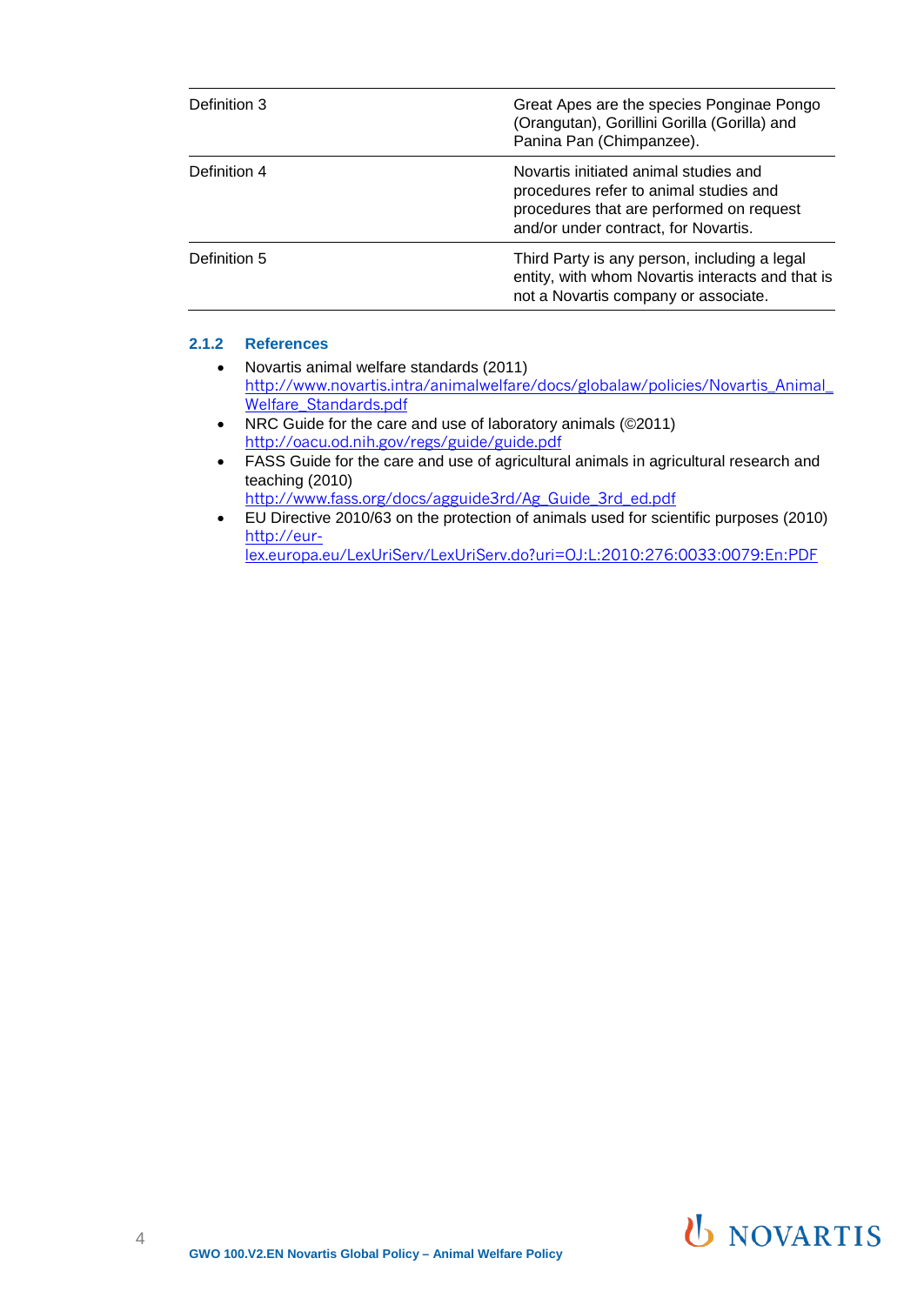| Definition 3 | Great Apes are the species Ponginae Pongo<br>(Orangutan), Gorillini Gorilla (Gorilla) and<br>Panina Pan (Chimpanzee).                                               |
|--------------|---------------------------------------------------------------------------------------------------------------------------------------------------------------------|
| Definition 4 | Novartis initiated animal studies and<br>procedures refer to animal studies and<br>procedures that are performed on request<br>and/or under contract, for Novartis. |
| Definition 5 | Third Party is any person, including a legal<br>entity, with whom Novartis interacts and that is<br>not a Novartis company or associate.                            |

#### **2.1.2 References**

- Novartis animal welfare standards (2011) [http://www.novartis.intra/animalwelfare/docs/globalaw/policies/Novartis\\_Animal\\_](http://www.novartis.intra/animalwelfare/docs/globalaw/policies/Novartis_Animal_Welfare_Standards.pdf) Welfare Standards.pdf
- NRC Guide for the care and use of laboratory animals (©2011) <http://oacu.od.nih.gov/regs/guide/guide.pdf>
- FASS Guide for the care and use of agricultural animals in agricultural research and teaching (2010) [http://www.fass.org/docs/agguide3rd/Ag\\_Guide\\_3rd\\_ed.pdf](http://www.fass.org/docs/agguide3rd/Ag_Guide_3rd_ed.pdf)
- EU Directive 2010/63 on the protection of animals used for scientific purposes (2010) [http://eur-](http://eur-lex.europa.eu/LexUriServ/LexUriServ.do?uri=OJ%3AL%3A2010%3A276%3A0033%3A0079%3AEn%3APDF)

[lex.europa.eu/LexUriServ/LexUriServ.do?uri=OJ:L:2010:276:0033:0079:En:PDF](http://eur-lex.europa.eu/LexUriServ/LexUriServ.do?uri=OJ%3AL%3A2010%3A276%3A0033%3A0079%3AEn%3APDF)